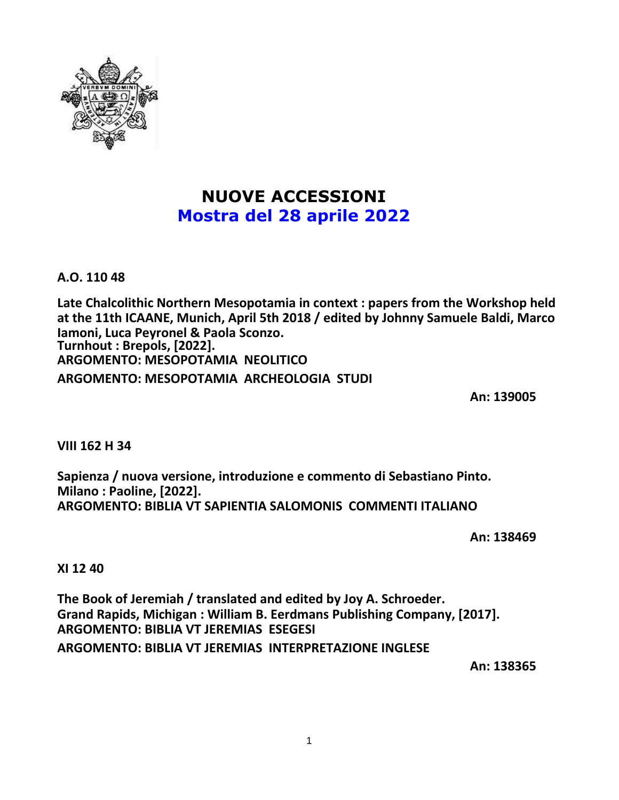

# **NUOVE ACCESSIONI Mostra del 28 aprile 2022**

**A.O. 110 48**

**Late Chalcolithic Northern Mesopotamia in context : papers from the Workshop held at the 11th ICAANE, Munich, April 5th 2018 / edited by Johnny Samuele Baldi, Marco Iamoni, Luca Peyronel & Paola Sconzo. Turnhout : Brepols, [2022]. ARGOMENTO: MESOPOTAMIA NEOLITICO ARGOMENTO: MESOPOTAMIA ARCHEOLOGIA STUDI**

**An: 139005**

**VIII 162 H 34**

**Sapienza / nuova versione, introduzione e commento di Sebastiano Pinto. Milano : Paoline, [2022]. ARGOMENTO: BIBLIA VT SAPIENTIA SALOMONIS COMMENTI ITALIANO**

**An: 138469**

**XI 12 40**

**The Book of Jeremiah / translated and edited by Joy A. Schroeder. Grand Rapids, Michigan : William B. Eerdmans Publishing Company, [2017]. ARGOMENTO: BIBLIA VT JEREMIAS ESEGESI ARGOMENTO: BIBLIA VT JEREMIAS INTERPRETAZIONE INGLESE**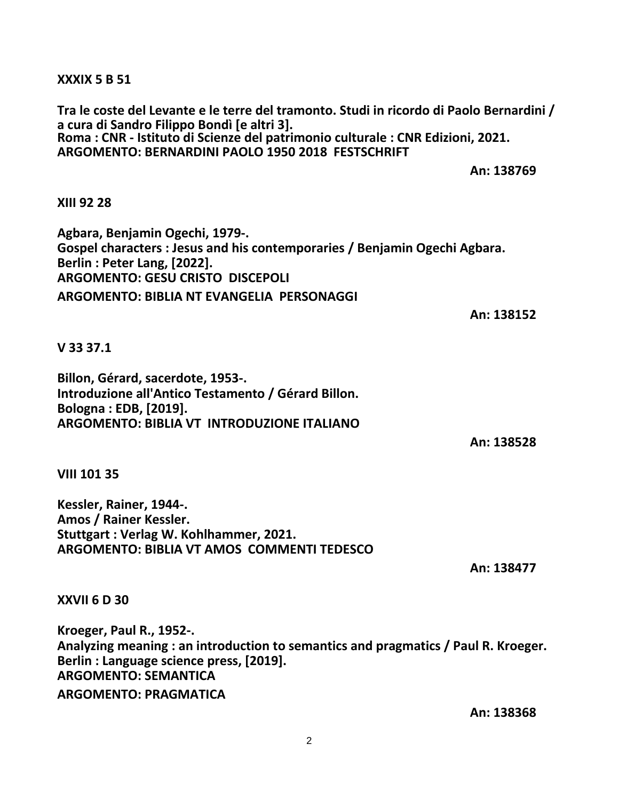**XXXIX 5 B 51**

**Tra le coste del Levante e le terre del tramonto. Studi in ricordo di Paolo Bernardini / a cura di Sandro Filippo Bondì [e altri 3]. Roma : CNR - Istituto di Scienze del patrimonio culturale : CNR Edizioni, 2021. ARGOMENTO: BERNARDINI PAOLO 1950 2018 FESTSCHRIFT**

**An: 138769**

## **XIII 92 28**

**Agbara, Benjamin Ogechi, 1979-. Gospel characters : Jesus and his contemporaries / Benjamin Ogechi Agbara. Berlin : Peter Lang, [2022]. ARGOMENTO: GESU CRISTO DISCEPOLI ARGOMENTO: BIBLIA NT EVANGELIA PERSONAGGI**

**An: 138152**

#### **V 33 37.1**

**Billon, Gérard, sacerdote, 1953-. Introduzione all'Antico Testamento / Gérard Billon. Bologna : EDB, [2019]. ARGOMENTO: BIBLIA VT INTRODUZIONE ITALIANO**

**An: 138528**

**VIII 101 35**

**Kessler, Rainer, 1944-. Amos / Rainer Kessler. Stuttgart : Verlag W. Kohlhammer, 2021. ARGOMENTO: BIBLIA VT AMOS COMMENTI TEDESCO**

**An: 138477**

#### **XXVII 6 D 30**

**Kroeger, Paul R., 1952-. Analyzing meaning : an introduction to semantics and pragmatics / Paul R. Kroeger. Berlin : Language science press, [2019]. ARGOMENTO: SEMANTICA ARGOMENTO: PRAGMATICA**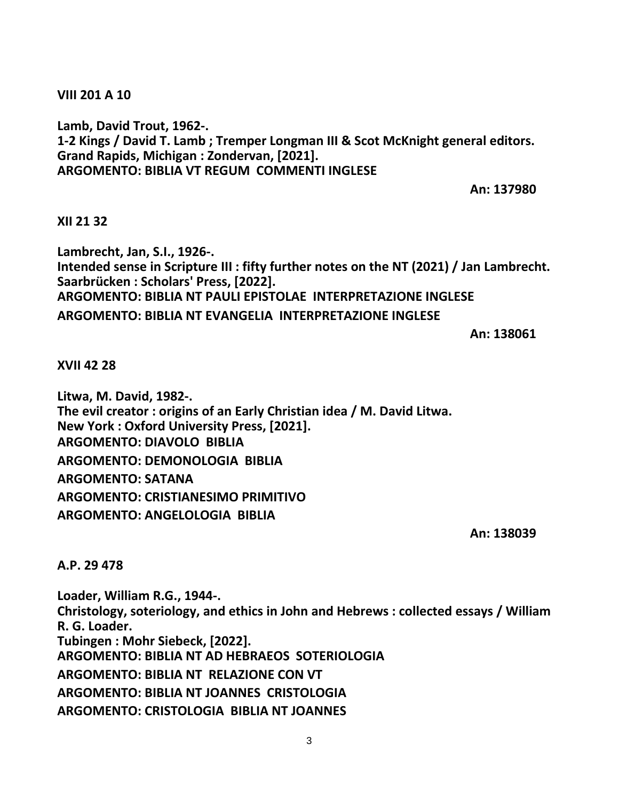**VIII 201 A 10**

**Lamb, David Trout, 1962-. 1-2 Kings / David T. Lamb ; Tremper Longman III & Scot McKnight general editors. Grand Rapids, Michigan : Zondervan, [2021]. ARGOMENTO: BIBLIA VT REGUM COMMENTI INGLESE**

**An: 137980**

## **XII 21 32**

**Lambrecht, Jan, S.I., 1926-. Intended sense in Scripture III : fifty further notes on the NT (2021) / Jan Lambrecht. Saarbrücken : Scholars' Press, [2022]. ARGOMENTO: BIBLIA NT PAULI EPISTOLAE INTERPRETAZIONE INGLESE ARGOMENTO: BIBLIA NT EVANGELIA INTERPRETAZIONE INGLESE**

**An: 138061**

**XVII 42 28**

**Litwa, M. David, 1982-. The evil creator : origins of an Early Christian idea / M. David Litwa. New York : Oxford University Press, [2021]. ARGOMENTO: DIAVOLO BIBLIA ARGOMENTO: DEMONOLOGIA BIBLIA ARGOMENTO: SATANA ARGOMENTO: CRISTIANESIMO PRIMITIVO ARGOMENTO: ANGELOLOGIA BIBLIA**

**An: 138039**

**A.P. 29 478**

**Loader, William R.G., 1944-. Christology, soteriology, and ethics in John and Hebrews : collected essays / William R. G. Loader. Tubingen : Mohr Siebeck, [2022]. ARGOMENTO: BIBLIA NT AD HEBRAEOS SOTERIOLOGIA ARGOMENTO: BIBLIA NT RELAZIONE CON VT ARGOMENTO: BIBLIA NT JOANNES CRISTOLOGIA ARGOMENTO: CRISTOLOGIA BIBLIA NT JOANNES**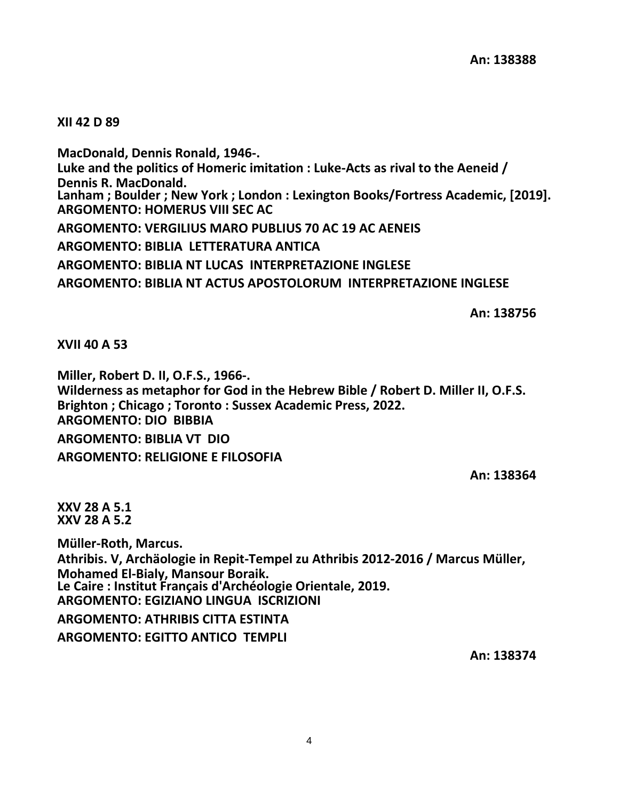## **XII 42 D 89**

**MacDonald, Dennis Ronald, 1946-. Luke and the politics of Homeric imitation : Luke-Acts as rival to the Aeneid / Dennis R. MacDonald. Lanham ; Boulder ; New York ; London : Lexington Books/Fortress Academic, [2019]. ARGOMENTO: HOMERUS VIII SEC AC ARGOMENTO: VERGILIUS MARO PUBLIUS 70 AC 19 AC AENEIS ARGOMENTO: BIBLIA LETTERATURA ANTICA ARGOMENTO: BIBLIA NT LUCAS INTERPRETAZIONE INGLESE ARGOMENTO: BIBLIA NT ACTUS APOSTOLORUM INTERPRETAZIONE INGLESE**

**An: 138756**

**XVII 40 A 53**

**Miller, Robert D. II, O.F.S., 1966-. Wilderness as metaphor for God in the Hebrew Bible / Robert D. Miller II, O.F.S. Brighton ; Chicago ; Toronto : Sussex Academic Press, 2022. ARGOMENTO: DIO BIBBIA ARGOMENTO: BIBLIA VT DIO ARGOMENTO: RELIGIONE E FILOSOFIA**

**An: 138364**

**XXV 28 A 5.1 XXV 28 A 5.2**

**Müller-Roth, Marcus. Athribis. V, Archäologie in Repit-Tempel zu Athribis 2012-2016 / Marcus Müller, Mohamed El-Bialy, Mansour Boraik. Le Caire : Institut Français d'Archéologie Orientale, 2019. ARGOMENTO: EGIZIANO LINGUA ISCRIZIONI ARGOMENTO: ATHRIBIS CITTA ESTINTA ARGOMENTO: EGITTO ANTICO TEMPLI**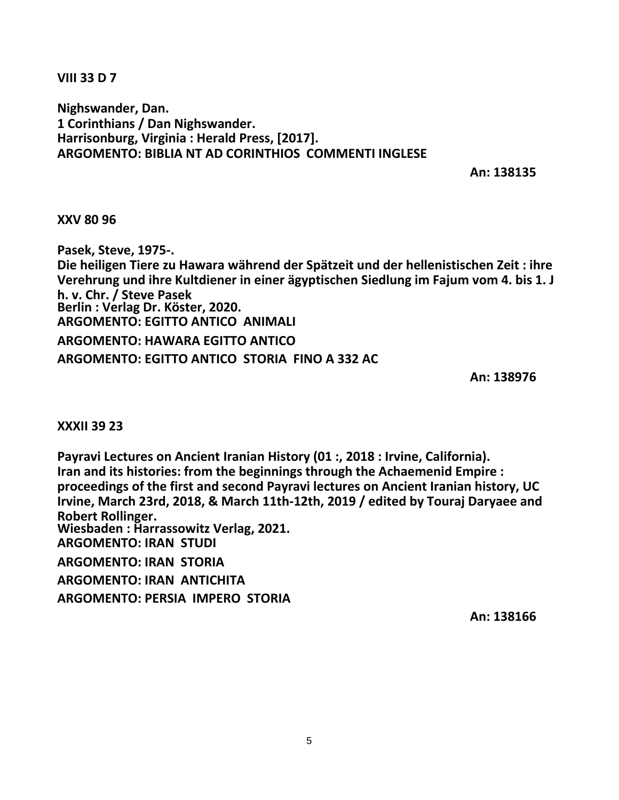**VIII 33 D 7**

**Nighswander, Dan. 1 Corinthians / Dan Nighswander. Harrisonburg, Virginia : Herald Press, [2017]. ARGOMENTO: BIBLIA NT AD CORINTHIOS COMMENTI INGLESE**

**An: 138135**

**XXV 80 96**

**Pasek, Steve, 1975-. Die heiligen Tiere zu Hawara während der Spätzeit und der hellenistischen Zeit : ihre Verehrung und ihre Kultdiener in einer ägyptischen Siedlung im Fajum vom 4. bis 1. J h. v. Chr. / Steve Pasek Berlin : Verlag Dr. Köster, 2020. ARGOMENTO: EGITTO ANTICO ANIMALI ARGOMENTO: HAWARA EGITTO ANTICO ARGOMENTO: EGITTO ANTICO STORIA FINO A 332 AC**

**An: 138976**

**XXXII 39 23**

**Payravi Lectures on Ancient Iranian History (01 :, 2018 : Irvine, California). Iran and its histories: from the beginnings through the Achaemenid Empire : proceedings of the first and second Payravi lectures on Ancient Iranian history, UC Irvine, March 23rd, 2018, & March 11th-12th, 2019 / edited by Touraj Daryaee and Robert Rollinger. Wiesbaden : Harrassowitz Verlag, 2021. ARGOMENTO: IRAN STUDI ARGOMENTO: IRAN STORIA ARGOMENTO: IRAN ANTICHITA ARGOMENTO: PERSIA IMPERO STORIA**